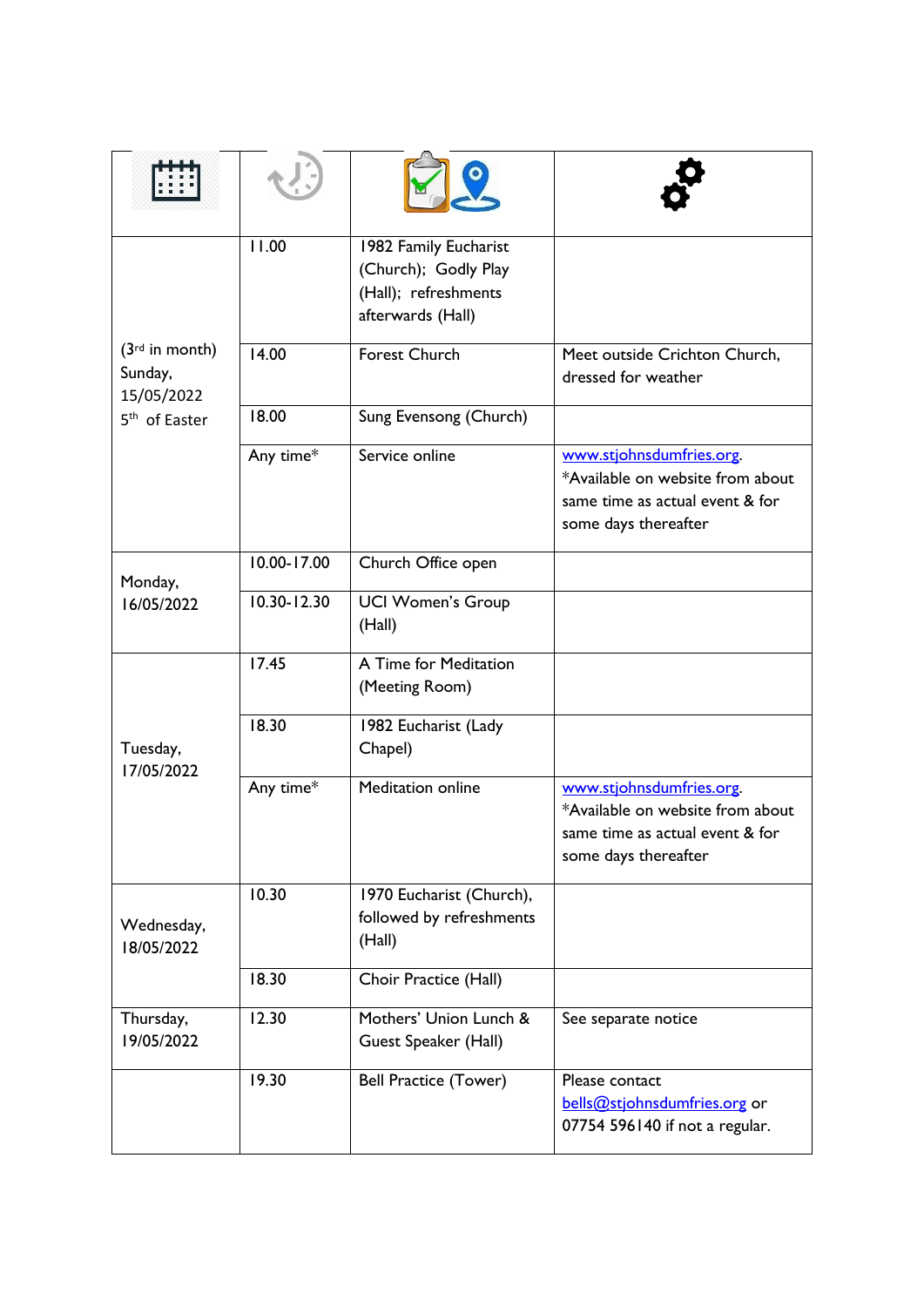| $(3rd$ in month)<br>Sunday,<br>15/05/2022<br>5 <sup>th</sup> of Easter | 11.00           | 1982 Family Eucharist<br>(Church); Godly Play<br>(Hall); refreshments<br>afterwards (Hall) |                                                                                                                         |
|------------------------------------------------------------------------|-----------------|--------------------------------------------------------------------------------------------|-------------------------------------------------------------------------------------------------------------------------|
|                                                                        | 14.00           | <b>Forest Church</b>                                                                       | Meet outside Crichton Church,<br>dressed for weather                                                                    |
|                                                                        | 18.00           | Sung Evensong (Church)                                                                     |                                                                                                                         |
|                                                                        | Any time*       | Service online                                                                             | www.stjohnsdumfries.org.<br>*Available on website from about<br>same time as actual event & for<br>some days thereafter |
| Monday,<br>16/05/2022                                                  | 10.00-17.00     | Church Office open                                                                         |                                                                                                                         |
|                                                                        | $10.30 - 12.30$ | <b>UCI Women's Group</b><br>(Hall)                                                         |                                                                                                                         |
| Tuesday,<br>17/05/2022                                                 | 17.45           | A Time for Meditation<br>(Meeting Room)                                                    |                                                                                                                         |
|                                                                        | 18.30           | 1982 Eucharist (Lady<br>Chapel)                                                            |                                                                                                                         |
|                                                                        | Any time*       | Meditation online                                                                          | www.stjohnsdumfries.org.<br>*Available on website from about<br>same time as actual event & for<br>some days thereafter |
| Wednesday,<br>18/05/2022                                               | 10.30           | 1970 Eucharist (Church),<br>followed by refreshments<br>(Hall)                             |                                                                                                                         |
|                                                                        | 18.30           | Choir Practice (Hall)                                                                      |                                                                                                                         |
| Thursday,<br>19/05/2022                                                | 12.30           | Mothers' Union Lunch &<br>Guest Speaker (Hall)                                             | See separate notice                                                                                                     |
|                                                                        | 19.30           | <b>Bell Practice (Tower)</b>                                                               | Please contact<br>bells@stjohnsdumfries.org or<br>07754 596140 if not a regular.                                        |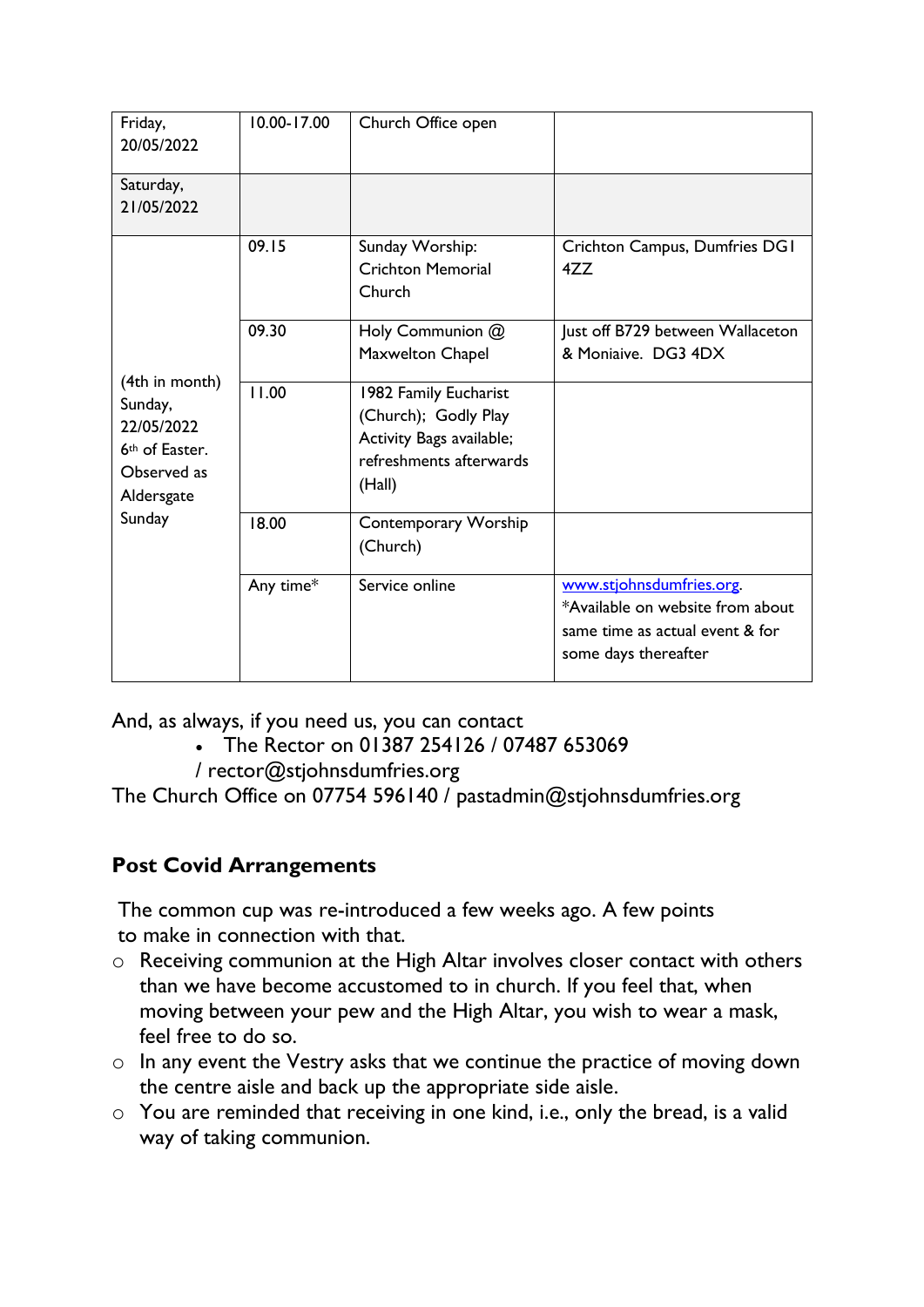| Friday,<br>20/05/2022                                                                                        | $10.00 - 17.00$ | Church Office open                                                                                             |                                                                                                                         |
|--------------------------------------------------------------------------------------------------------------|-----------------|----------------------------------------------------------------------------------------------------------------|-------------------------------------------------------------------------------------------------------------------------|
| Saturday,<br>21/05/2022                                                                                      |                 |                                                                                                                |                                                                                                                         |
| (4th in month)<br>Sunday,<br>22/05/2022<br>6 <sup>th</sup> of Easter.<br>Observed as<br>Aldersgate<br>Sunday | 09.15           | Sunday Worship:<br><b>Crichton Memorial</b><br>Church                                                          | Crichton Campus, Dumfries DGI<br>4ZZ                                                                                    |
|                                                                                                              | 09.30           | Holy Communion @<br>Maxwelton Chapel                                                                           | Just off B729 between Wallaceton<br>& Moniaive. DG3 4DX                                                                 |
|                                                                                                              | 11.00           | 1982 Family Eucharist<br>(Church); Godly Play<br>Activity Bags available;<br>refreshments afterwards<br>(Hall) |                                                                                                                         |
|                                                                                                              | 18.00           | Contemporary Worship<br>(Church)                                                                               |                                                                                                                         |
|                                                                                                              | Any time*       | Service online                                                                                                 | www.stjohnsdumfries.org.<br>*Available on website from about<br>same time as actual event & for<br>some days thereafter |

And, as always, if you need us, you can contact

- The Rector on 01387 254126 / 07487 653069
- / [rector@stjohnsdumfries.org](mailto:rector@stjohnsdumfries.org)

The Church Office on 07754 596140 / [pastadmin@stjohnsdumfries.org](mailto:pastadmin@stjohnsdumfries.org)

## **Post Covid Arrangements**

The common cup was re-introduced a few weeks ago. A few points to make in connection with that.

- o Receiving communion at the High Altar involves closer contact with others than we have become accustomed to in church. If you feel that, when moving between your pew and the High Altar, you wish to wear a mask, feel free to do so.
- o In any event the Vestry asks that we continue the practice of moving down the centre aisle and back up the appropriate side aisle.
- o You are reminded that receiving in one kind, i.e., only the bread, is a valid way of taking communion.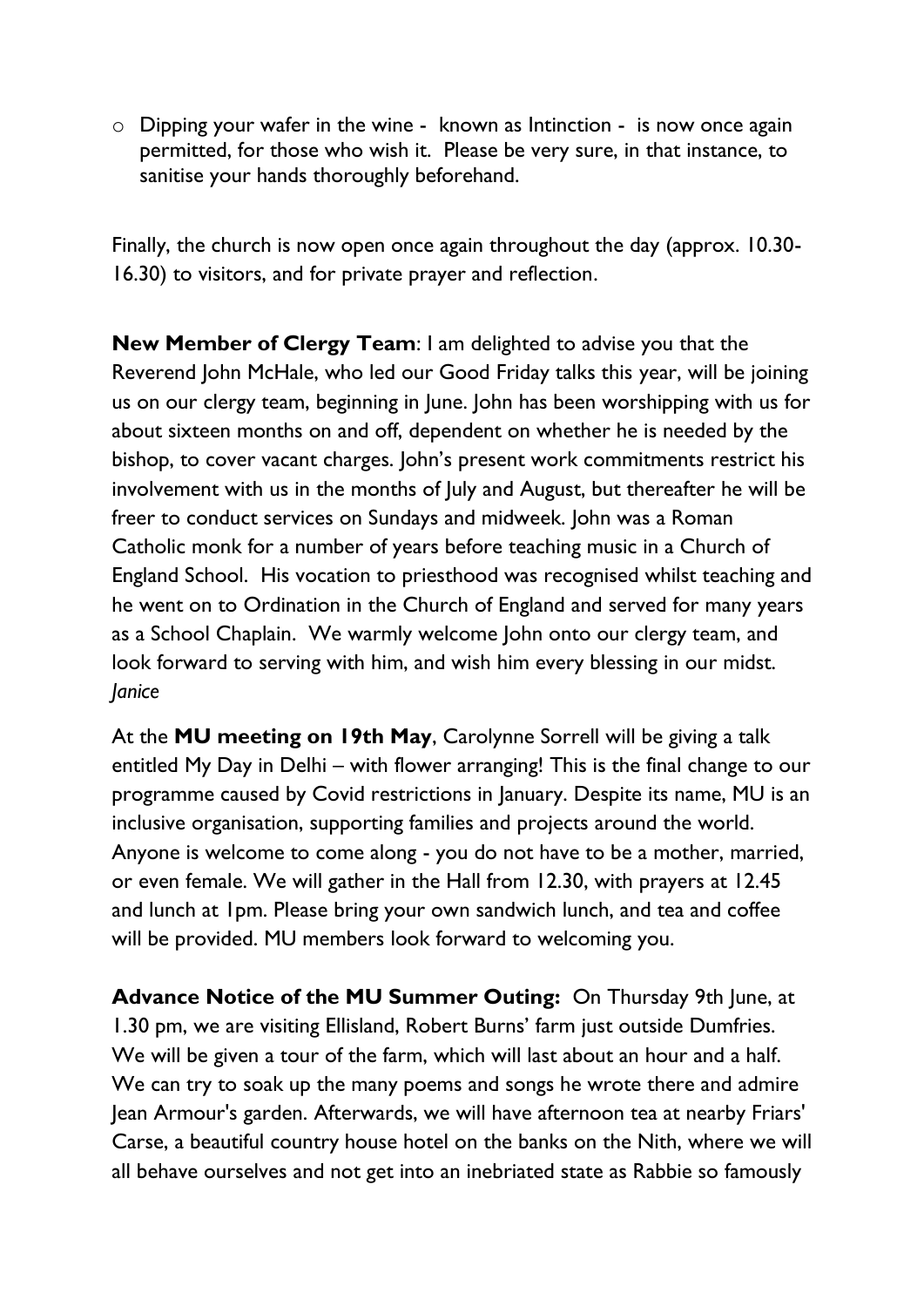o Dipping your wafer in the wine - known as Intinction - is now once again permitted, for those who wish it. Please be very sure, in that instance, to sanitise your hands thoroughly beforehand.

Finally, the church is now open once again throughout the day (approx. 10.30- 16.30) to visitors, and for private prayer and reflection.

**New Member of Clergy Team**: I am delighted to advise you that the Reverend John McHale, who led our Good Friday talks this year, will be joining us on our clergy team, beginning in June. John has been worshipping with us for about sixteen months on and off, dependent on whether he is needed by the bishop, to cover vacant charges. John's present work commitments restrict his involvement with us in the months of July and August, but thereafter he will be freer to conduct services on Sundays and midweek. John was a Roman Catholic monk for a number of years before teaching music in a Church of England School. His vocation to priesthood was recognised whilst teaching and he went on to Ordination in the Church of England and served for many years as a School Chaplain. We warmly welcome John onto our clergy team, and look forward to serving with him, and wish him every blessing in our midst. *Janice*

At the **MU meeting on 19th May**, Carolynne Sorrell will be giving a talk entitled My Day in Delhi – with flower arranging! This is the final change to our programme caused by Covid restrictions in January. Despite its name, MU is an inclusive organisation, supporting families and projects around the world. Anyone is welcome to come along - you do not have to be a mother, married, or even female. We will gather in the Hall from 12.30, with prayers at 12.45 and lunch at 1pm. Please bring your own sandwich lunch, and tea and coffee will be provided. MU members look forward to welcoming you.

**Advance Notice of the MU Summer Outing:** On Thursday 9th June, at 1.30 pm, we are visiting Ellisland, Robert Burns' farm just outside Dumfries. We will be given a tour of the farm, which will last about an hour and a half. We can try to soak up the many poems and songs he wrote there and admire Jean Armour's garden. Afterwards, we will have afternoon tea at nearby Friars' Carse, a beautiful country house hotel on the banks on the Nith, where we will all behave ourselves and not get into an inebriated state as Rabbie so famously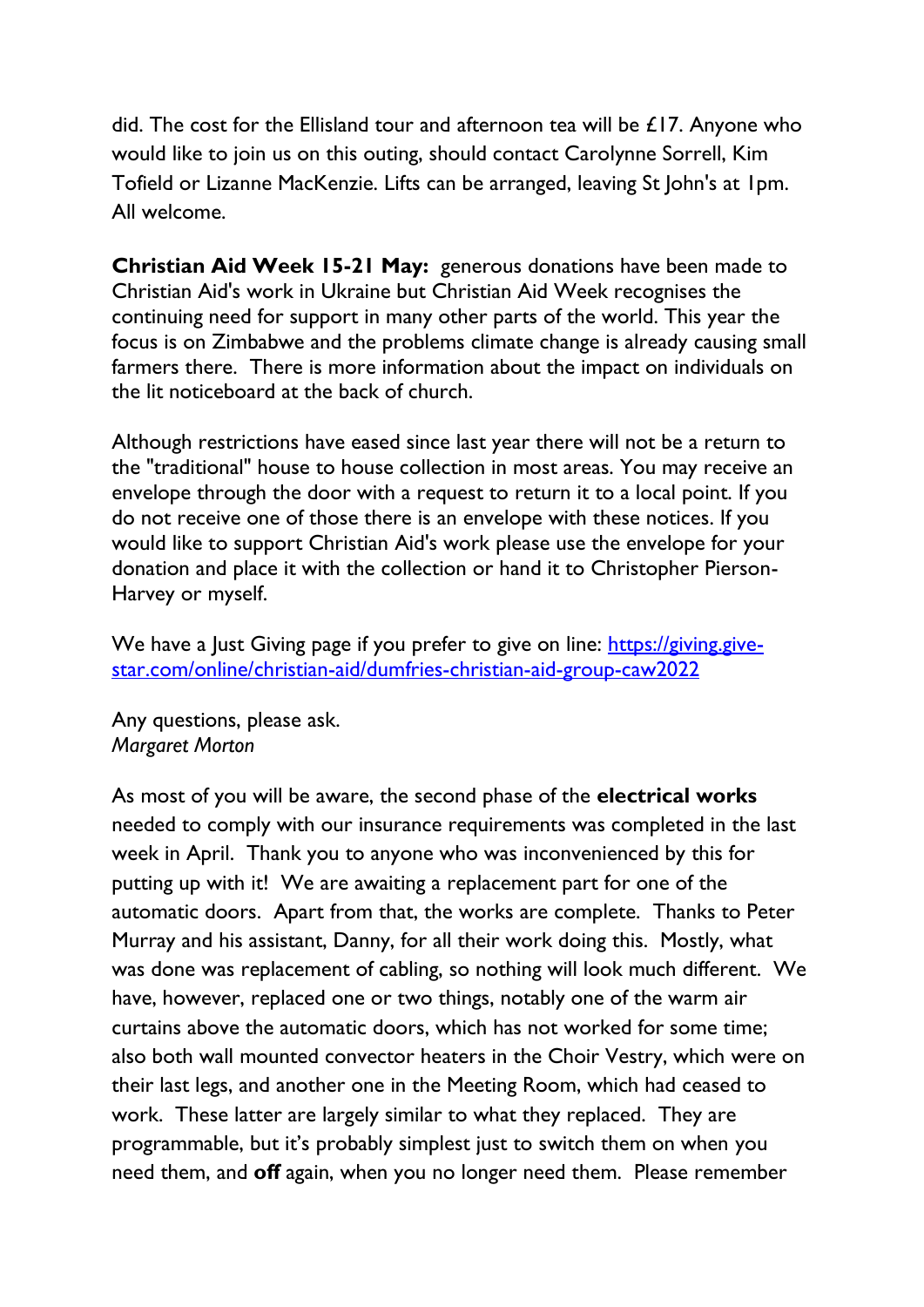did. The cost for the Ellisland tour and afternoon tea will be £17. Anyone who would like to join us on this outing, should contact Carolynne Sorrell, Kim Tofield or Lizanne MacKenzie. Lifts can be arranged, leaving St John's at 1pm. All welcome.

**Christian Aid Week 15-21 May:** generous donations have been made to Christian Aid's work in Ukraine but Christian Aid Week recognises the continuing need for support in many other parts of the world. This year the focus is on Zimbabwe and the problems climate change is already causing small farmers there. There is more information about the impact on individuals on the lit noticeboard at the back of church.

Although restrictions have eased since last year there will not be a return to the "traditional" house to house collection in most areas. You may receive an envelope through the door with a request to return it to a local point. If you do not receive one of those there is an envelope with these notices. If you would like to support Christian Aid's work please use the envelope for your donation and place it with the collection or hand it to Christopher Pierson-Harvey or myself.

We have a Just Giving page if you prefer to give on line: [https://giving.give](https://giving.give-star.com/online/christian-aid/dumfries-christian-aid-group-caw2022)[star.com/online/christian-aid/dumfries-christian-aid-group-caw2022](https://giving.give-star.com/online/christian-aid/dumfries-christian-aid-group-caw2022)

Any questions, please ask. *Margaret Morton*

As most of you will be aware, the second phase of the **electrical works** needed to comply with our insurance requirements was completed in the last week in April. Thank you to anyone who was inconvenienced by this for putting up with it! We are awaiting a replacement part for one of the automatic doors. Apart from that, the works are complete. Thanks to Peter Murray and his assistant, Danny, for all their work doing this. Mostly, what was done was replacement of cabling, so nothing will look much different. We have, however, replaced one or two things, notably one of the warm air curtains above the automatic doors, which has not worked for some time; also both wall mounted convector heaters in the Choir Vestry, which were on their last legs, and another one in the Meeting Room, which had ceased to work. These latter are largely similar to what they replaced. They are programmable, but it's probably simplest just to switch them on when you need them, and **off** again, when you no longer need them. Please remember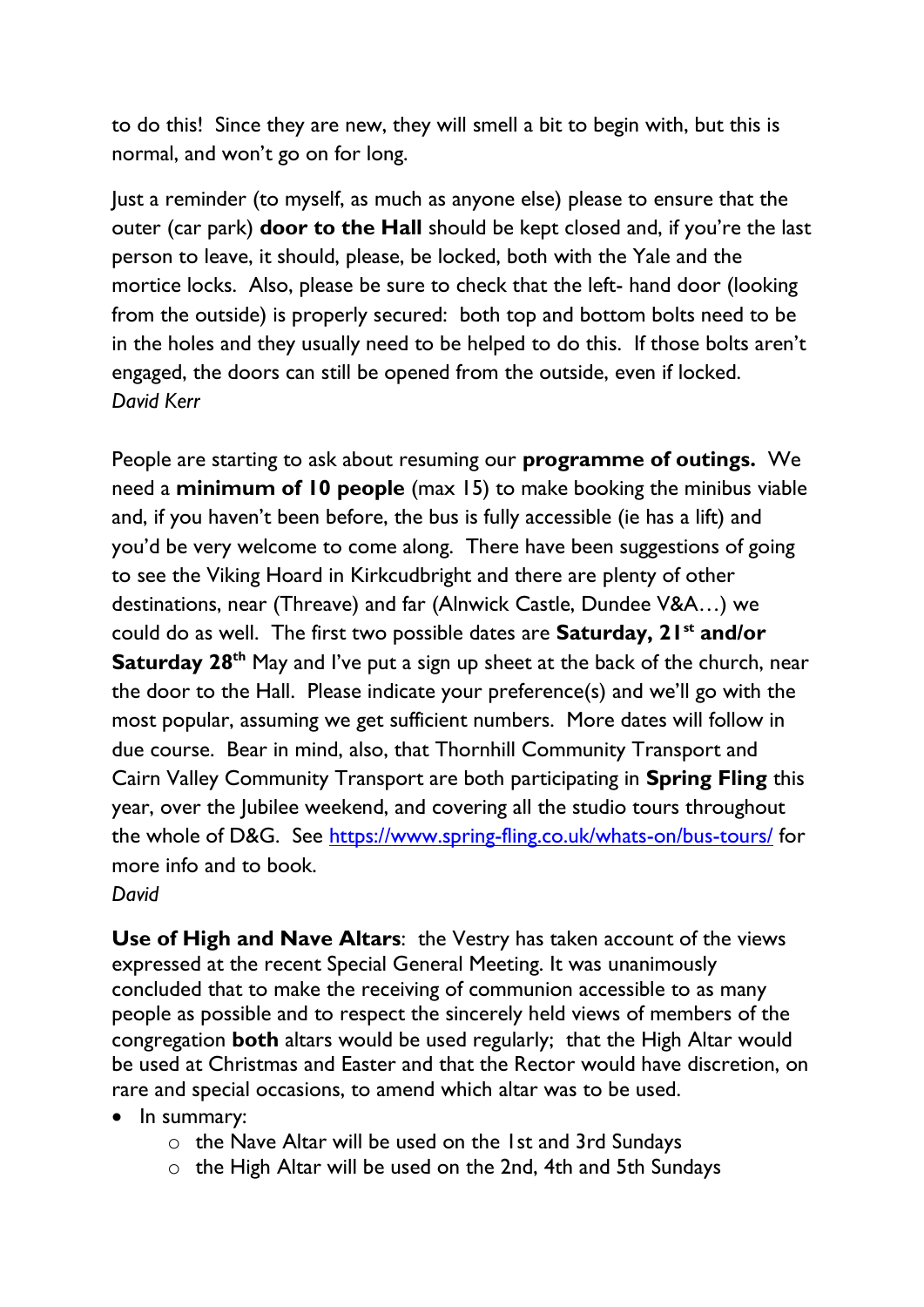to do this! Since they are new, they will smell a bit to begin with, but this is normal, and won't go on for long.

Just a reminder (to myself, as much as anyone else) please to ensure that the outer (car park) **door to the Hall** should be kept closed and, if you're the last person to leave, it should, please, be locked, both with the Yale and the mortice locks. Also, please be sure to check that the left- hand door (looking from the outside) is properly secured: both top and bottom bolts need to be in the holes and they usually need to be helped to do this. If those bolts aren't engaged, the doors can still be opened from the outside, even if locked. *David Kerr*

People are starting to ask about resuming our **programme of outings.** We need a **minimum of 10 people** (max 15) to make booking the minibus viable and, if you haven't been before, the bus is fully accessible (ie has a lift) and you'd be very welcome to come along. There have been suggestions of going to see the Viking Hoard in Kirkcudbright and there are plenty of other destinations, near (Threave) and far (Alnwick Castle, Dundee V&A…) we could do as well. The first two possible dates are **Saturday, 21st and/or Saturday 28<sup>th</sup>** May and I've put a sign up sheet at the back of the church, near the door to the Hall. Please indicate your preference(s) and we'll go with the most popular, assuming we get sufficient numbers. More dates will follow in due course. Bear in mind, also, that Thornhill Community Transport and Cairn Valley Community Transport are both participating in **Spring Fling** this year, over the Jubilee weekend, and covering all the studio tours throughout the whole of D&G. See<https://www.spring-fling.co.uk/whats-on/bus-tours/> for more info and to book. *David*

**Use of High and Nave Altars**: the Vestry has taken account of the views expressed at the recent Special General Meeting. It was unanimously concluded that to make the receiving of communion accessible to as many people as possible and to respect the sincerely held views of members of the congregation **both** altars would be used regularly; that the High Altar would be used at Christmas and Easter and that the Rector would have discretion, on rare and special occasions, to amend which altar was to be used.

- In summary:
	- o the Nave Altar will be used on the 1st and 3rd Sundays
	- o the High Altar will be used on the 2nd, 4th and 5th Sundays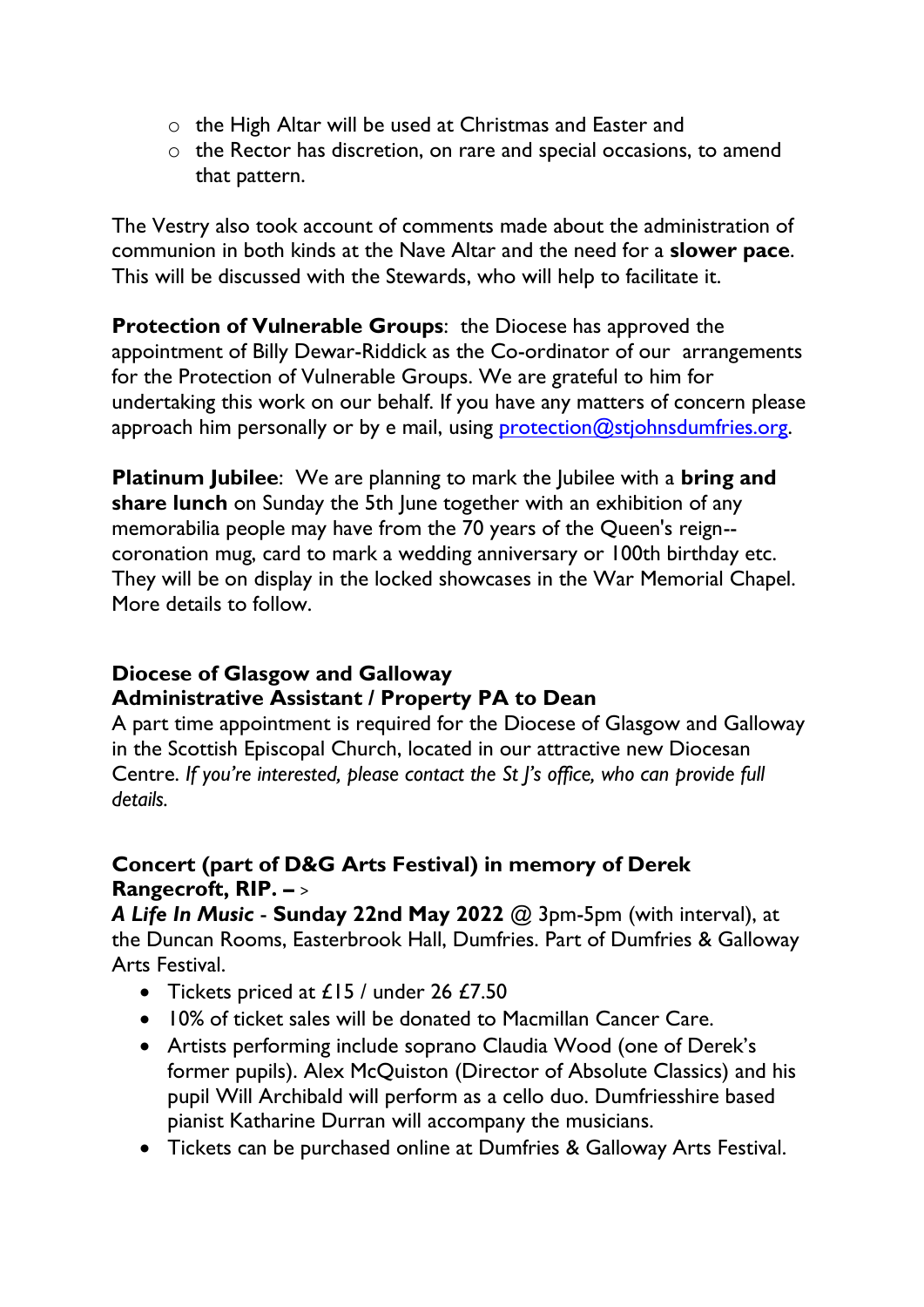- o the High Altar will be used at Christmas and Easter and
- o the Rector has discretion, on rare and special occasions, to amend that pattern.

The Vestry also took account of comments made about the administration of communion in both kinds at the Nave Altar and the need for a **slower pace**. This will be discussed with the Stewards, who will help to facilitate it.

**Protection of Vulnerable Groups:** the Diocese has approved the appointment of Billy Dewar-Riddick as the Co-ordinator of our arrangements for the Protection of Vulnerable Groups. We are grateful to him for undertaking this work on our behalf. If you have any matters of concern please approach him personally or by e mail, using [protection@stjohnsdumfries.org.](mailto:protection@stjohnsdumfries.org)

**Platinum Jubilee**: We are planning to mark the Jubilee with a **bring and share lunch** on Sunday the 5th June together with an exhibition of any memorabilia people may have from the 70 years of the Queen's reign- coronation mug, card to mark a wedding anniversary or 100th birthday etc. They will be on display in the locked showcases in the War Memorial Chapel. More details to follow.

## **Diocese of Glasgow and Galloway Administrative Assistant / Property PA to Dean**

A part time appointment is required for the Diocese of Glasgow and Galloway in the Scottish Episcopal Church, located in our attractive new Diocesan Centre. *If you're interested, please contact the St J's office, who can provide full details.*

## **Concert (part of D&G Arts Festival) in memory of Derek Rangecroft, RIP. –** >

*A Life In Music* - **Sunday 22nd May 2022** @ 3pm-5pm (with interval), at the Duncan Rooms, Easterbrook Hall, Dumfries. Part of Dumfries & Galloway Arts Festival.

- Tickets priced at £15 / under 26 £7.50
- 10% of ticket sales will be donated to Macmillan Cancer Care.
- Artists performing include soprano Claudia Wood (one of Derek's former pupils). Alex McQuiston (Director of Absolute Classics) and his pupil Will Archibald will perform as a cello duo. Dumfriesshire based pianist Katharine Durran will accompany the musicians.
- Tickets can be purchased online at Dumfries & Galloway Arts Festival.